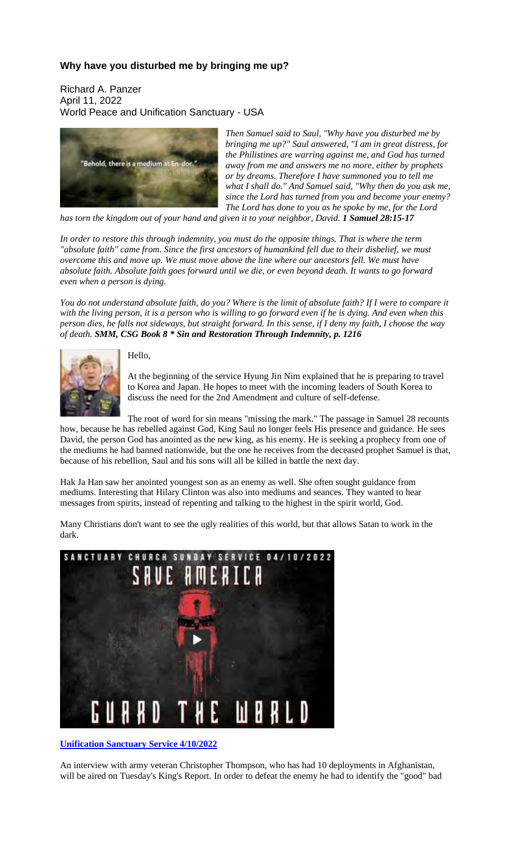## **Why have you disturbed me by bringing me up?**

Richard A. Panzer April 11, 2022 World Peace and Unification Sanctuary - USA



*Then Samuel said to Saul, "Why have you disturbed me by bringing me up?" Saul answered, "I am in great distress, for the Philistines are warring against me, and God has turned away from me and answers me no more, either by prophets or by dreams. Therefore I have summoned you to tell me what I shall do." And Samuel said, "Why then do you ask me, since the Lord has turned from you and become your enemy? The Lord has done to you as he spoke by me, for the Lord*

*has torn the kingdom out of your hand and given it to your neighbor, David. 1 Samuel 28:15-17*

In order to restore this through indemnity, you must do the opposite things. That is where the term *"absolute faith" came from. Since the first ancestors of humankind fell due to their disbelief, we must overcome this and move up. We must move above the line where our ancestors fell. We must have* absolute faith. Absolute faith goes forward until we die, or even beyond death. It wants to go forward *even when a person is dying.*

You do not understand absolute faith, do you? Where is the limit of absolute faith? If I were to compare it with the living person, it is a person who is willing to go forward even if he is dying. And even when this person dies, he falls not sideways, but straight forward. In this sense, if I deny my faith, I choose the way *of death. SMM, CSG Book 8 \* Sin and Restoration Through Indemnity, p. 1216*



## Hello,

At the beginning of the service Hyung Jin Nim explained that he is preparing to travel to Korea and Japan. He hopes to meet with the incoming leaders of South Korea to discuss the need for the 2nd Amendment and culture of self-defense.

The root of word for sin means "missing the mark." The passage in Samuel 28 recounts how, because he has rebelled against God, King Saul no longer feels His presence and guidance. He sees

David, the person God has anointed as the new king, as his enemy. He is seeking a prophecy from one of the mediums he had banned nationwide, but the one he receives from the deceased prophet Samuel is that, because of his rebellion, Saul and his sons will all be killed in battle the next day.

Hak Ja Han saw her anointed youngest son as an enemy as well. She often sought guidance from mediums. Interesting that Hilary Clinton was also into mediums and seances. They wanted to hear messages from spirits, instead of repenting and talking to the highest in the spirit world, God.

Many Christians don't want to see the ugly realities of this world, but that allows Satan to work in the dark.



**Unification Sanctuary Service 4/10/2022**

An interview with army veteran Christopher Thompson, who has had 10 deployments in Afghanistan, will be aired on Tuesday's King's Report. In order to defeat the enemy he had to identify the "good" bad